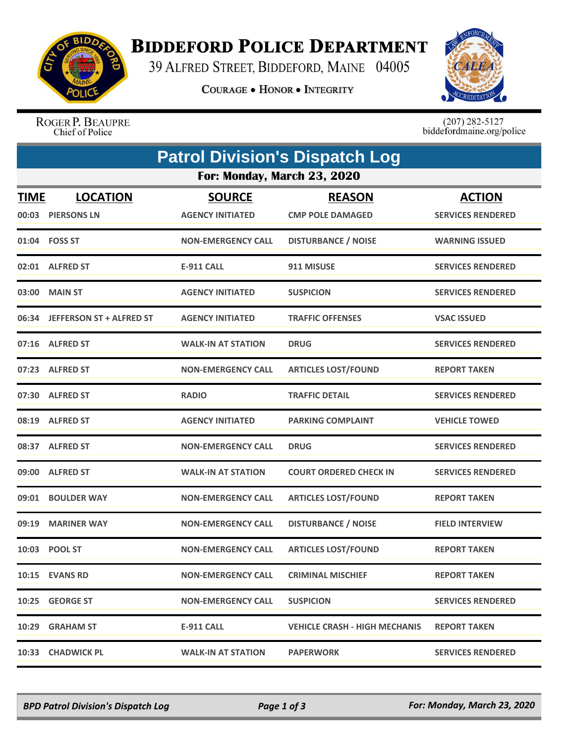

## **BIDDEFORD POLICE DEPARTMENT**

39 ALFRED STREET, BIDDEFORD, MAINE 04005

**COURAGE . HONOR . INTEGRITY** 



ROGER P. BEAUPRE Chief of Police

 $(207)$  282-5127<br>biddefordmaine.org/police

| <b>Patrol Division's Dispatch Log</b> |                                      |                                          |                                          |                                           |  |  |  |  |
|---------------------------------------|--------------------------------------|------------------------------------------|------------------------------------------|-------------------------------------------|--|--|--|--|
| For: Monday, March 23, 2020           |                                      |                                          |                                          |                                           |  |  |  |  |
| <b>TIME</b>                           | <b>LOCATION</b><br>00:03 PIERSONS LN | <b>SOURCE</b><br><b>AGENCY INITIATED</b> | <b>REASON</b><br><b>CMP POLE DAMAGED</b> | <b>ACTION</b><br><b>SERVICES RENDERED</b> |  |  |  |  |
|                                       | 01:04 FOSS ST                        | <b>NON-EMERGENCY CALL</b>                | <b>DISTURBANCE / NOISE</b>               | <b>WARNING ISSUED</b>                     |  |  |  |  |
|                                       | 02:01 ALFRED ST                      | <b>E-911 CALL</b>                        | 911 MISUSE                               | <b>SERVICES RENDERED</b>                  |  |  |  |  |
| 03:00                                 | <b>MAIN ST</b>                       | <b>AGENCY INITIATED</b>                  | <b>SUSPICION</b>                         | <b>SERVICES RENDERED</b>                  |  |  |  |  |
|                                       | 06:34 JEFFERSON ST + ALFRED ST       | <b>AGENCY INITIATED</b>                  | <b>TRAFFIC OFFENSES</b>                  | <b>VSAC ISSUED</b>                        |  |  |  |  |
|                                       | 07:16 ALFRED ST                      | <b>WALK-IN AT STATION</b>                | <b>DRUG</b>                              | <b>SERVICES RENDERED</b>                  |  |  |  |  |
|                                       | 07:23 ALFRED ST                      | <b>NON-EMERGENCY CALL</b>                | <b>ARTICLES LOST/FOUND</b>               | <b>REPORT TAKEN</b>                       |  |  |  |  |
| 07:30                                 | <b>ALFRED ST</b>                     | <b>RADIO</b>                             | <b>TRAFFIC DETAIL</b>                    | <b>SERVICES RENDERED</b>                  |  |  |  |  |
|                                       | 08:19 ALFRED ST                      | <b>AGENCY INITIATED</b>                  | <b>PARKING COMPLAINT</b>                 | <b>VEHICLE TOWED</b>                      |  |  |  |  |
|                                       | 08:37 ALFRED ST                      | <b>NON-EMERGENCY CALL</b>                | <b>DRUG</b>                              | <b>SERVICES RENDERED</b>                  |  |  |  |  |
| 09:00                                 | <b>ALFRED ST</b>                     | <b>WALK-IN AT STATION</b>                | <b>COURT ORDERED CHECK IN</b>            | <b>SERVICES RENDERED</b>                  |  |  |  |  |
| 09:01                                 | <b>BOULDER WAY</b>                   | <b>NON-EMERGENCY CALL</b>                | <b>ARTICLES LOST/FOUND</b>               | <b>REPORT TAKEN</b>                       |  |  |  |  |
| 09:19                                 | <b>MARINER WAY</b>                   | <b>NON-EMERGENCY CALL</b>                | <b>DISTURBANCE / NOISE</b>               | <b>FIELD INTERVIEW</b>                    |  |  |  |  |
|                                       | 10:03 POOL ST                        | <b>NON-EMERGENCY CALL</b>                | <b>ARTICLES LOST/FOUND</b>               | <b>REPORT TAKEN</b>                       |  |  |  |  |
|                                       | 10:15 EVANS RD                       | <b>NON-EMERGENCY CALL</b>                | <b>CRIMINAL MISCHIEF</b>                 | <b>REPORT TAKEN</b>                       |  |  |  |  |
|                                       | 10:25 GEORGE ST                      | <b>NON-EMERGENCY CALL</b>                | <b>SUSPICION</b>                         | <b>SERVICES RENDERED</b>                  |  |  |  |  |
|                                       | 10:29 GRAHAM ST                      | E-911 CALL                               | <b>VEHICLE CRASH - HIGH MECHANIS</b>     | <b>REPORT TAKEN</b>                       |  |  |  |  |
|                                       | 10:33 CHADWICK PL                    | <b>WALK-IN AT STATION</b>                | <b>PAPERWORK</b>                         | <b>SERVICES RENDERED</b>                  |  |  |  |  |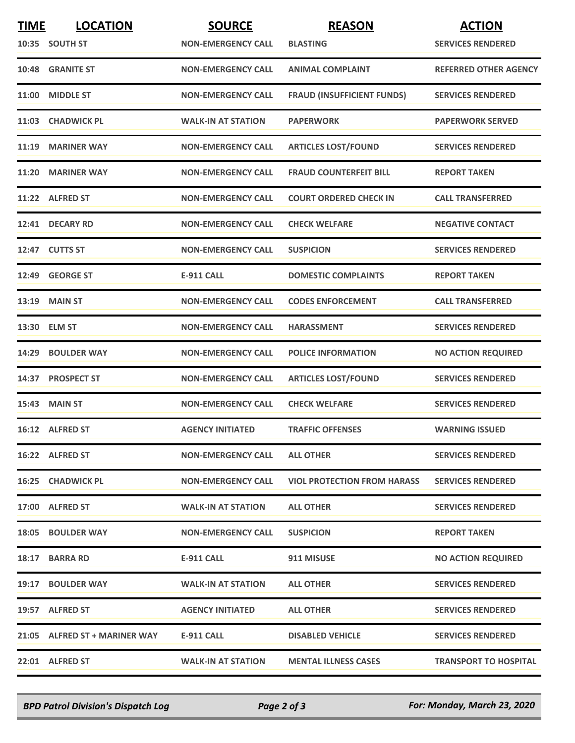| <b>TIME</b> | <b>LOCATION</b>               | <b>SOURCE</b>             | <b>REASON</b>                      | <b>ACTION</b>                |
|-------------|-------------------------------|---------------------------|------------------------------------|------------------------------|
|             | 10:35 SOUTH ST                | <b>NON-EMERGENCY CALL</b> | <b>BLASTING</b>                    | <b>SERVICES RENDERED</b>     |
|             | 10:48 GRANITE ST              | <b>NON-EMERGENCY CALL</b> | <b>ANIMAL COMPLAINT</b>            | <b>REFERRED OTHER AGENCY</b> |
| 11:00       | <b>MIDDLE ST</b>              | <b>NON-EMERGENCY CALL</b> | <b>FRAUD (INSUFFICIENT FUNDS)</b>  | <b>SERVICES RENDERED</b>     |
|             | 11:03 CHADWICK PL             | <b>WALK-IN AT STATION</b> | <b>PAPERWORK</b>                   | <b>PAPERWORK SERVED</b>      |
| 11:19       | <b>MARINER WAY</b>            | <b>NON-EMERGENCY CALL</b> | <b>ARTICLES LOST/FOUND</b>         | <b>SERVICES RENDERED</b>     |
| 11:20       | <b>MARINER WAY</b>            | <b>NON-EMERGENCY CALL</b> | <b>FRAUD COUNTERFEIT BILL</b>      | <b>REPORT TAKEN</b>          |
|             | 11:22 ALFRED ST               | <b>NON-EMERGENCY CALL</b> | <b>COURT ORDERED CHECK IN</b>      | <b>CALL TRANSFERRED</b>      |
|             | 12:41 DECARY RD               | <b>NON-EMERGENCY CALL</b> | <b>CHECK WELFARE</b>               | <b>NEGATIVE CONTACT</b>      |
|             | 12:47 CUTTS ST                | <b>NON-EMERGENCY CALL</b> | <b>SUSPICION</b>                   | <b>SERVICES RENDERED</b>     |
| 12:49       | <b>GEORGE ST</b>              | <b>E-911 CALL</b>         | <b>DOMESTIC COMPLAINTS</b>         | <b>REPORT TAKEN</b>          |
|             | 13:19 MAIN ST                 | <b>NON-EMERGENCY CALL</b> | <b>CODES ENFORCEMENT</b>           | <b>CALL TRANSFERRED</b>      |
|             | 13:30 ELM ST                  | <b>NON-EMERGENCY CALL</b> | <b>HARASSMENT</b>                  | <b>SERVICES RENDERED</b>     |
| 14:29       | <b>BOULDER WAY</b>            | <b>NON-EMERGENCY CALL</b> | <b>POLICE INFORMATION</b>          | <b>NO ACTION REQUIRED</b>    |
|             | 14:37 PROSPECT ST             | <b>NON-EMERGENCY CALL</b> | <b>ARTICLES LOST/FOUND</b>         | <b>SERVICES RENDERED</b>     |
|             | <b>15:43 MAIN ST</b>          | <b>NON-EMERGENCY CALL</b> | <b>CHECK WELFARE</b>               | <b>SERVICES RENDERED</b>     |
|             | 16:12 ALFRED ST               | <b>AGENCY INITIATED</b>   | <b>TRAFFIC OFFENSES</b>            | <b>WARNING ISSUED</b>        |
|             | 16:22 ALFRED ST               | <b>NON-EMERGENCY CALL</b> | <b>ALL OTHER</b>                   | <b>SERVICES RENDERED</b>     |
|             | 16:25 CHADWICK PL             | <b>NON-EMERGENCY CALL</b> | <b>VIOL PROTECTION FROM HARASS</b> | <b>SERVICES RENDERED</b>     |
|             | 17:00 ALFRED ST               | <b>WALK-IN AT STATION</b> | <b>ALL OTHER</b>                   | <b>SERVICES RENDERED</b>     |
|             | 18:05 BOULDER WAY             | <b>NON-EMERGENCY CALL</b> | <b>SUSPICION</b>                   | <b>REPORT TAKEN</b>          |
|             | 18:17 BARRA RD                | E-911 CALL                | 911 MISUSE                         | <b>NO ACTION REQUIRED</b>    |
|             | 19:17 BOULDER WAY             | <b>WALK-IN AT STATION</b> | <b>ALL OTHER</b>                   | <b>SERVICES RENDERED</b>     |
|             | 19:57 ALFRED ST               | <b>AGENCY INITIATED</b>   | <b>ALL OTHER</b>                   | <b>SERVICES RENDERED</b>     |
|             | 21:05 ALFRED ST + MARINER WAY | E-911 CALL                | <b>DISABLED VEHICLE</b>            | <b>SERVICES RENDERED</b>     |
|             | 22:01 ALFRED ST               | <b>WALK-IN AT STATION</b> | <b>MENTAL ILLNESS CASES</b>        | <b>TRANSPORT TO HOSPITAL</b> |

*BPD Patrol Division's Dispatch Log Page 2 of 3 For: Monday, March 23, 2020*